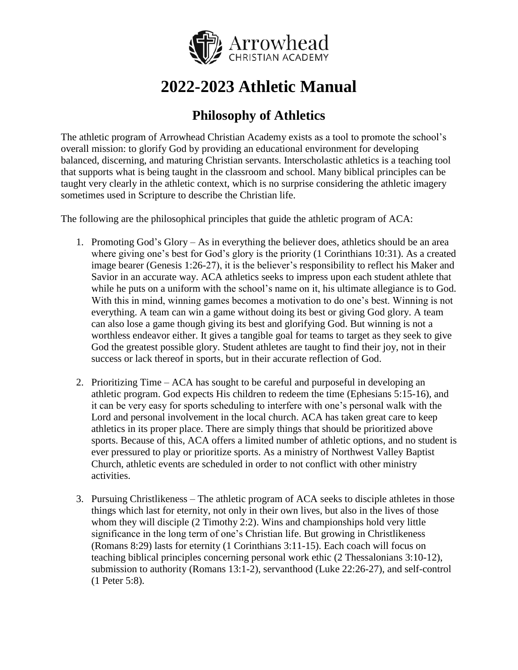

# **2022-2023 Athletic Manual**

# **Philosophy of Athletics**

The athletic program of Arrowhead Christian Academy exists as a tool to promote the school's overall mission: to glorify God by providing an educational environment for developing balanced, discerning, and maturing Christian servants. Interscholastic athletics is a teaching tool that supports what is being taught in the classroom and school. Many biblical principles can be taught very clearly in the athletic context, which is no surprise considering the athletic imagery sometimes used in Scripture to describe the Christian life.

The following are the philosophical principles that guide the athletic program of ACA:

- 1. Promoting God's Glory As in everything the believer does, athletics should be an area where giving one's best for God's glory is the priority (1 Corinthians 10:31). As a created image bearer (Genesis 1:26-27), it is the believer's responsibility to reflect his Maker and Savior in an accurate way. ACA athletics seeks to impress upon each student athlete that while he puts on a uniform with the school's name on it, his ultimate allegiance is to God. With this in mind, winning games becomes a motivation to do one's best. Winning is not everything. A team can win a game without doing its best or giving God glory. A team can also lose a game though giving its best and glorifying God. But winning is not a worthless endeavor either. It gives a tangible goal for teams to target as they seek to give God the greatest possible glory. Student athletes are taught to find their joy, not in their success or lack thereof in sports, but in their accurate reflection of God.
- 2. Prioritizing Time ACA has sought to be careful and purposeful in developing an athletic program. God expects His children to redeem the time (Ephesians 5:15-16), and it can be very easy for sports scheduling to interfere with one's personal walk with the Lord and personal involvement in the local church. ACA has taken great care to keep athletics in its proper place. There are simply things that should be prioritized above sports. Because of this, ACA offers a limited number of athletic options, and no student is ever pressured to play or prioritize sports. As a ministry of Northwest Valley Baptist Church, athletic events are scheduled in order to not conflict with other ministry activities.
- 3. Pursuing Christlikeness The athletic program of ACA seeks to disciple athletes in those things which last for eternity, not only in their own lives, but also in the lives of those whom they will disciple (2 Timothy 2:2). Wins and championships hold very little significance in the long term of one's Christian life. But growing in Christlikeness (Romans 8:29) lasts for eternity (1 Corinthians 3:11-15). Each coach will focus on teaching biblical principles concerning personal work ethic (2 Thessalonians 3:10-12), submission to authority (Romans 13:1-2), servanthood (Luke 22:26-27), and self-control (1 Peter 5:8).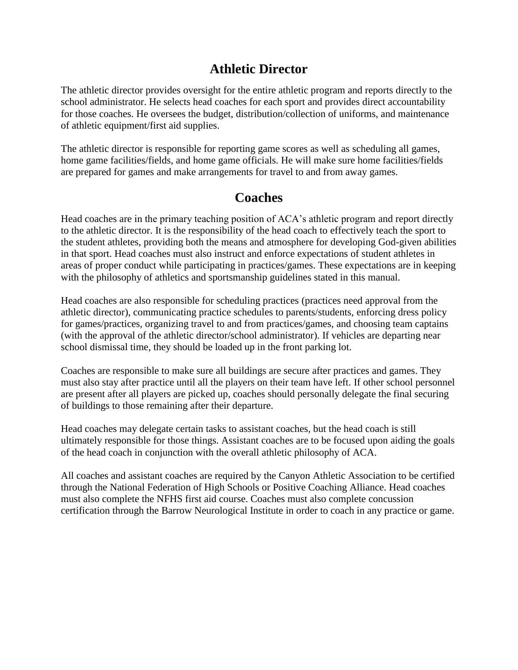### **Athletic Director**

The athletic director provides oversight for the entire athletic program and reports directly to the school administrator. He selects head coaches for each sport and provides direct accountability for those coaches. He oversees the budget, distribution/collection of uniforms, and maintenance of athletic equipment/first aid supplies.

The athletic director is responsible for reporting game scores as well as scheduling all games, home game facilities/fields, and home game officials. He will make sure home facilities/fields are prepared for games and make arrangements for travel to and from away games.

#### **Coaches**

Head coaches are in the primary teaching position of ACA's athletic program and report directly to the athletic director. It is the responsibility of the head coach to effectively teach the sport to the student athletes, providing both the means and atmosphere for developing God-given abilities in that sport. Head coaches must also instruct and enforce expectations of student athletes in areas of proper conduct while participating in practices/games. These expectations are in keeping with the philosophy of athletics and sportsmanship guidelines stated in this manual.

Head coaches are also responsible for scheduling practices (practices need approval from the athletic director), communicating practice schedules to parents/students, enforcing dress policy for games/practices, organizing travel to and from practices/games, and choosing team captains (with the approval of the athletic director/school administrator). If vehicles are departing near school dismissal time, they should be loaded up in the front parking lot.

Coaches are responsible to make sure all buildings are secure after practices and games. They must also stay after practice until all the players on their team have left. If other school personnel are present after all players are picked up, coaches should personally delegate the final securing of buildings to those remaining after their departure.

Head coaches may delegate certain tasks to assistant coaches, but the head coach is still ultimately responsible for those things. Assistant coaches are to be focused upon aiding the goals of the head coach in conjunction with the overall athletic philosophy of ACA.

All coaches and assistant coaches are required by the Canyon Athletic Association to be certified through the National Federation of High Schools or Positive Coaching Alliance. Head coaches must also complete the NFHS first aid course. Coaches must also complete concussion certification through the Barrow Neurological Institute in order to coach in any practice or game.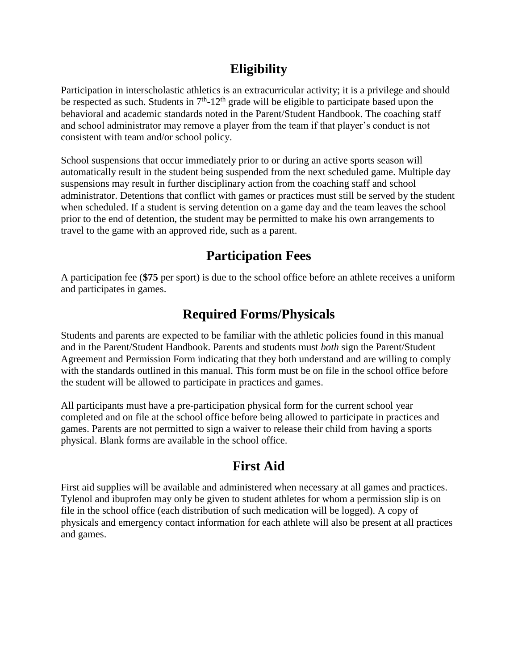## **Eligibility**

Participation in interscholastic athletics is an extracurricular activity; it is a privilege and should be respected as such. Students in  $7<sup>th</sup>$ -12<sup>th</sup> grade will be eligible to participate based upon the behavioral and academic standards noted in the Parent/Student Handbook. The coaching staff and school administrator may remove a player from the team if that player's conduct is not consistent with team and/or school policy.

School suspensions that occur immediately prior to or during an active sports season will automatically result in the student being suspended from the next scheduled game. Multiple day suspensions may result in further disciplinary action from the coaching staff and school administrator. Detentions that conflict with games or practices must still be served by the student when scheduled. If a student is serving detention on a game day and the team leaves the school prior to the end of detention, the student may be permitted to make his own arrangements to travel to the game with an approved ride, such as a parent.

# **Participation Fees**

A participation fee (**\$75** per sport) is due to the school office before an athlete receives a uniform and participates in games.

# **Required Forms/Physicals**

Students and parents are expected to be familiar with the athletic policies found in this manual and in the Parent/Student Handbook. Parents and students must *both* sign the Parent/Student Agreement and Permission Form indicating that they both understand and are willing to comply with the standards outlined in this manual. This form must be on file in the school office before the student will be allowed to participate in practices and games.

All participants must have a pre-participation physical form for the current school year completed and on file at the school office before being allowed to participate in practices and games. Parents are not permitted to sign a waiver to release their child from having a sports physical. Blank forms are available in the school office.

# **First Aid**

First aid supplies will be available and administered when necessary at all games and practices. Tylenol and ibuprofen may only be given to student athletes for whom a permission slip is on file in the school office (each distribution of such medication will be logged). A copy of physicals and emergency contact information for each athlete will also be present at all practices and games.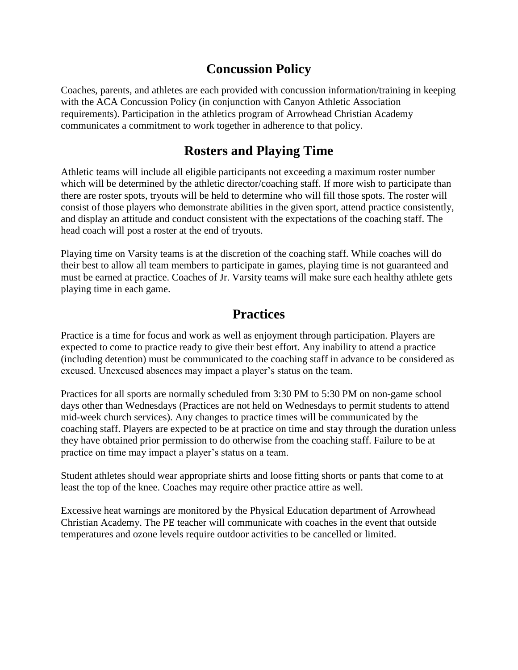# **Concussion Policy**

Coaches, parents, and athletes are each provided with concussion information/training in keeping with the ACA Concussion Policy (in conjunction with Canyon Athletic Association requirements). Participation in the athletics program of Arrowhead Christian Academy communicates a commitment to work together in adherence to that policy.

## **Rosters and Playing Time**

Athletic teams will include all eligible participants not exceeding a maximum roster number which will be determined by the athletic director/coaching staff. If more wish to participate than there are roster spots, tryouts will be held to determine who will fill those spots. The roster will consist of those players who demonstrate abilities in the given sport, attend practice consistently, and display an attitude and conduct consistent with the expectations of the coaching staff. The head coach will post a roster at the end of tryouts.

Playing time on Varsity teams is at the discretion of the coaching staff. While coaches will do their best to allow all team members to participate in games, playing time is not guaranteed and must be earned at practice. Coaches of Jr. Varsity teams will make sure each healthy athlete gets playing time in each game.

#### **Practices**

Practice is a time for focus and work as well as enjoyment through participation. Players are expected to come to practice ready to give their best effort. Any inability to attend a practice (including detention) must be communicated to the coaching staff in advance to be considered as excused. Unexcused absences may impact a player's status on the team.

Practices for all sports are normally scheduled from 3:30 PM to 5:30 PM on non-game school days other than Wednesdays (Practices are not held on Wednesdays to permit students to attend mid-week church services). Any changes to practice times will be communicated by the coaching staff. Players are expected to be at practice on time and stay through the duration unless they have obtained prior permission to do otherwise from the coaching staff. Failure to be at practice on time may impact a player's status on a team.

Student athletes should wear appropriate shirts and loose fitting shorts or pants that come to at least the top of the knee. Coaches may require other practice attire as well.

Excessive heat warnings are monitored by the Physical Education department of Arrowhead Christian Academy. The PE teacher will communicate with coaches in the event that outside temperatures and ozone levels require outdoor activities to be cancelled or limited.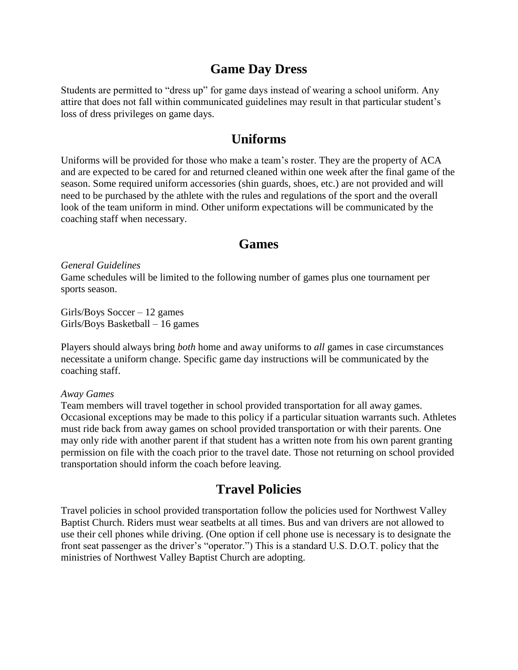#### **Game Day Dress**

Students are permitted to "dress up" for game days instead of wearing a school uniform. Any attire that does not fall within communicated guidelines may result in that particular student's loss of dress privileges on game days.

#### **Uniforms**

Uniforms will be provided for those who make a team's roster. They are the property of ACA and are expected to be cared for and returned cleaned within one week after the final game of the season. Some required uniform accessories (shin guards, shoes, etc.) are not provided and will need to be purchased by the athlete with the rules and regulations of the sport and the overall look of the team uniform in mind. Other uniform expectations will be communicated by the coaching staff when necessary.

#### **Games**

*General Guidelines*

Game schedules will be limited to the following number of games plus one tournament per sports season.

Girls/Boys Soccer – 12 games Girls/Boys Basketball – 16 games

Players should always bring *both* home and away uniforms to *all* games in case circumstances necessitate a uniform change. Specific game day instructions will be communicated by the coaching staff.

*Away Games*

Team members will travel together in school provided transportation for all away games. Occasional exceptions may be made to this policy if a particular situation warrants such. Athletes must ride back from away games on school provided transportation or with their parents. One may only ride with another parent if that student has a written note from his own parent granting permission on file with the coach prior to the travel date. Those not returning on school provided transportation should inform the coach before leaving.

#### **Travel Policies**

Travel policies in school provided transportation follow the policies used for Northwest Valley Baptist Church. Riders must wear seatbelts at all times. Bus and van drivers are not allowed to use their cell phones while driving. (One option if cell phone use is necessary is to designate the front seat passenger as the driver's "operator.") This is a standard U.S. D.O.T. policy that the ministries of Northwest Valley Baptist Church are adopting.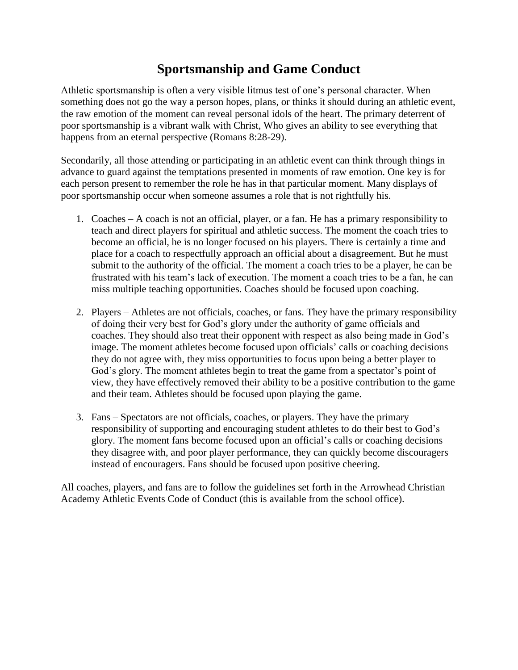# **Sportsmanship and Game Conduct**

Athletic sportsmanship is often a very visible litmus test of one's personal character. When something does not go the way a person hopes, plans, or thinks it should during an athletic event, the raw emotion of the moment can reveal personal idols of the heart. The primary deterrent of poor sportsmanship is a vibrant walk with Christ, Who gives an ability to see everything that happens from an eternal perspective (Romans 8:28-29).

Secondarily, all those attending or participating in an athletic event can think through things in advance to guard against the temptations presented in moments of raw emotion. One key is for each person present to remember the role he has in that particular moment. Many displays of poor sportsmanship occur when someone assumes a role that is not rightfully his.

- 1. Coaches A coach is not an official, player, or a fan. He has a primary responsibility to teach and direct players for spiritual and athletic success. The moment the coach tries to become an official, he is no longer focused on his players. There is certainly a time and place for a coach to respectfully approach an official about a disagreement. But he must submit to the authority of the official. The moment a coach tries to be a player, he can be frustrated with his team's lack of execution. The moment a coach tries to be a fan, he can miss multiple teaching opportunities. Coaches should be focused upon coaching.
- 2. Players Athletes are not officials, coaches, or fans. They have the primary responsibility of doing their very best for God's glory under the authority of game officials and coaches. They should also treat their opponent with respect as also being made in God's image. The moment athletes become focused upon officials' calls or coaching decisions they do not agree with, they miss opportunities to focus upon being a better player to God's glory. The moment athletes begin to treat the game from a spectator's point of view, they have effectively removed their ability to be a positive contribution to the game and their team. Athletes should be focused upon playing the game.
- 3. Fans Spectators are not officials, coaches, or players. They have the primary responsibility of supporting and encouraging student athletes to do their best to God's glory. The moment fans become focused upon an official's calls or coaching decisions they disagree with, and poor player performance, they can quickly become discouragers instead of encouragers. Fans should be focused upon positive cheering.

All coaches, players, and fans are to follow the guidelines set forth in the Arrowhead Christian Academy Athletic Events Code of Conduct (this is available from the school office).